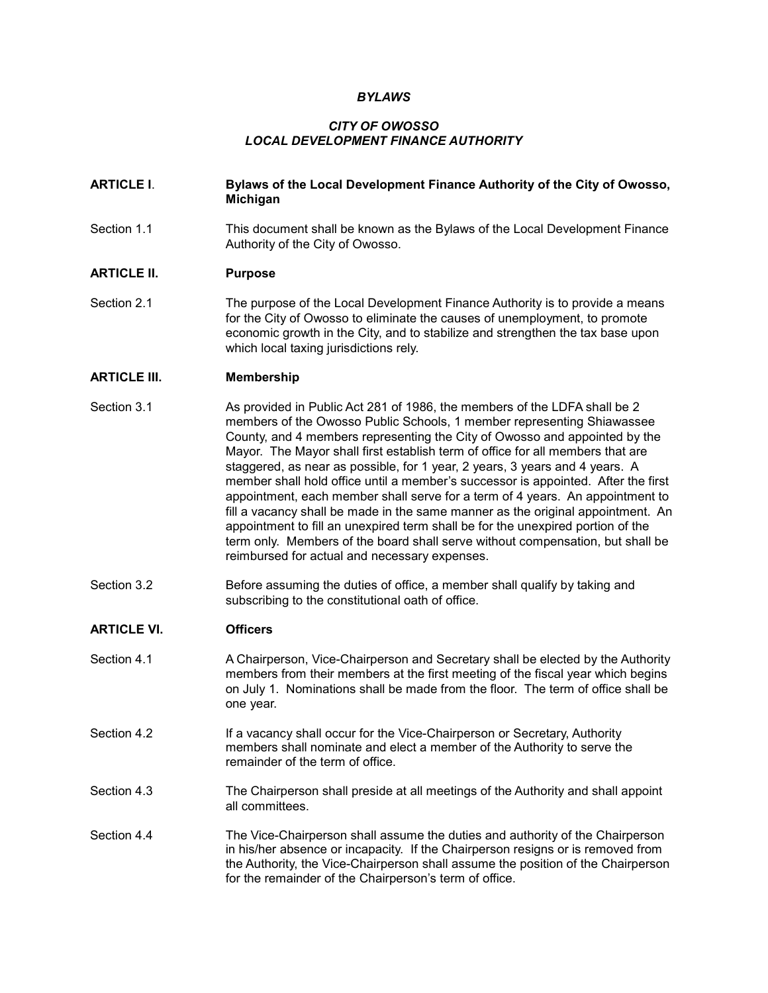#### *BYLAWS*

# *CITY OF OWOSSO LOCAL DEVELOPMENT FINANCE AUTHORITY*

#### **ARTICLE I**. **Bylaws of the Local Development Finance Authority of the City of Owosso, Michigan**

Section 1.1 This document shall be known as the Bylaws of the Local Development Finance Authority of the City of Owosso.

#### **ARTICLE II. Purpose**

Section 2.1 The purpose of the Local Development Finance Authority is to provide a means for the City of Owosso to eliminate the causes of unemployment, to promote economic growth in the City, and to stabilize and strengthen the tax base upon which local taxing jurisdictions rely.

#### **ARTICLE III. Membership**

- Section 3.1 As provided in Public Act 281 of 1986, the members of the LDFA shall be 2 members of the Owosso Public Schools, 1 member representing Shiawassee County, and 4 members representing the City of Owosso and appointed by the Mayor. The Mayor shall first establish term of office for all members that are staggered, as near as possible, for 1 year, 2 years, 3 years and 4 years. A member shall hold office until a member's successor is appointed. After the first appointment, each member shall serve for a term of 4 years. An appointment to fill a vacancy shall be made in the same manner as the original appointment. An appointment to fill an unexpired term shall be for the unexpired portion of the term only. Members of the board shall serve without compensation, but shall be reimbursed for actual and necessary expenses.
- Section 3.2 Before assuming the duties of office, a member shall qualify by taking and subscribing to the constitutional oath of office.

## **ARTICLE VI. Officers**

- Section 4.1 **A Chairperson, Vice-Chairperson and Secretary shall be elected by the Authority** members from their members at the first meeting of the fiscal year which begins on July 1. Nominations shall be made from the floor. The term of office shall be one year.
- Section 4.2 **If a vacancy shall occur for the Vice-Chairperson or Secretary, Authority** members shall nominate and elect a member of the Authority to serve the remainder of the term of office.
- Section 4.3 The Chairperson shall preside at all meetings of the Authority and shall appoint all committees.
- Section 4.4 The Vice-Chairperson shall assume the duties and authority of the Chairperson in his/her absence or incapacity. If the Chairperson resigns or is removed from the Authority, the Vice-Chairperson shall assume the position of the Chairperson for the remainder of the Chairperson's term of office.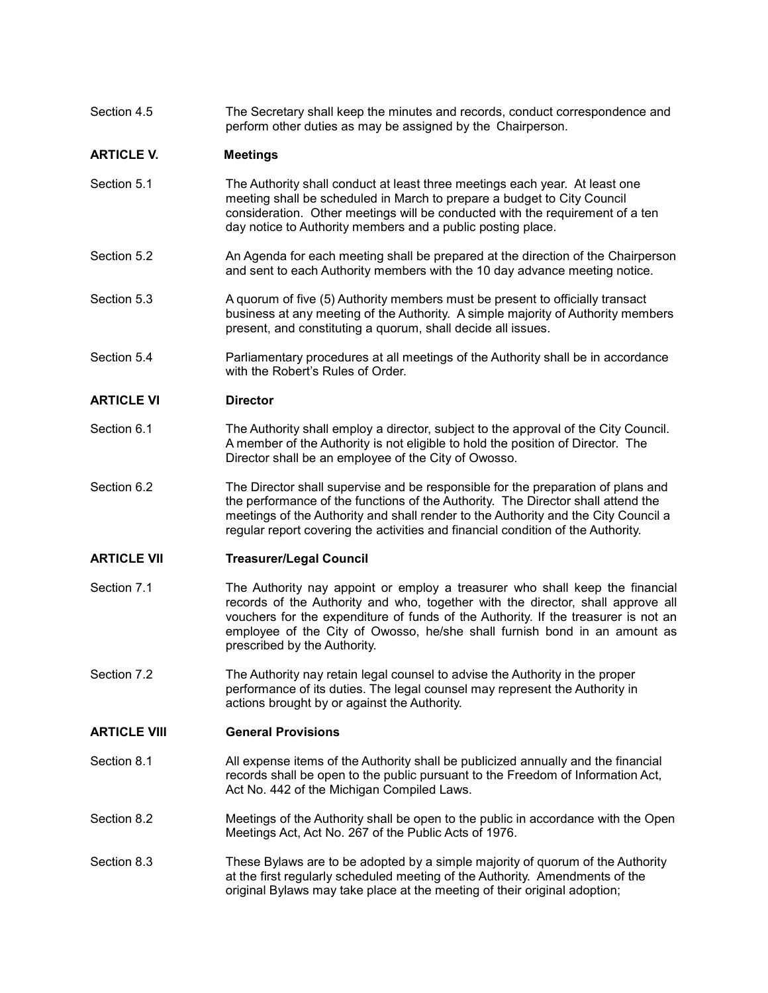| Section 4.5 | The Secretary shall keep the minutes and records, conduct correspondence and |
|-------------|------------------------------------------------------------------------------|
|             | perform other duties as may be assigned by the Chairperson.                  |

# **ARTICLE V. Meetings**

- Section 5.1 The Authority shall conduct at least three meetings each year. At least one meeting shall be scheduled in March to prepare a budget to City Council consideration. Other meetings will be conducted with the requirement of a ten day notice to Authority members and a public posting place.
- Section 5.2 An Agenda for each meeting shall be prepared at the direction of the Chairperson and sent to each Authority members with the 10 day advance meeting notice.
- Section 5.3 A quorum of five (5) Authority members must be present to officially transact business at any meeting of the Authority. A simple majority of Authority members present, and constituting a quorum, shall decide all issues.
- Section 5.4 Parliamentary procedures at all meetings of the Authority shall be in accordance with the Robert's Rules of Order.

## **ARTICLE VI Director**

- Section 6.1 The Authority shall employ a director, subject to the approval of the City Council. A member of the Authority is not eligible to hold the position of Director. The Director shall be an employee of the City of Owosso.
- Section 6.2 The Director shall supervise and be responsible for the preparation of plans and the performance of the functions of the Authority. The Director shall attend the meetings of the Authority and shall render to the Authority and the City Council a regular report covering the activities and financial condition of the Authority.

## **ARTICLE VII Treasurer/Legal Council**

- Section 7.1 The Authority nay appoint or employ a treasurer who shall keep the financial records of the Authority and who, together with the director, shall approve all vouchers for the expenditure of funds of the Authority. If the treasurer is not an employee of the City of Owosso, he/she shall furnish bond in an amount as prescribed by the Authority.
- Section 7.2 The Authority nay retain legal counsel to advise the Authority in the proper performance of its duties. The legal counsel may represent the Authority in actions brought by or against the Authority.

## **ARTICLE VIII General Provisions**

- Section 8.1 All expense items of the Authority shall be publicized annually and the financial records shall be open to the public pursuant to the Freedom of Information Act, Act No. 442 of the Michigan Compiled Laws.
- Section 8.2 Meetings of the Authority shall be open to the public in accordance with the Open Meetings Act, Act No. 267 of the Public Acts of 1976.
- Section 8.3 These Bylaws are to be adopted by a simple majority of quorum of the Authority at the first regularly scheduled meeting of the Authority. Amendments of the original Bylaws may take place at the meeting of their original adoption;